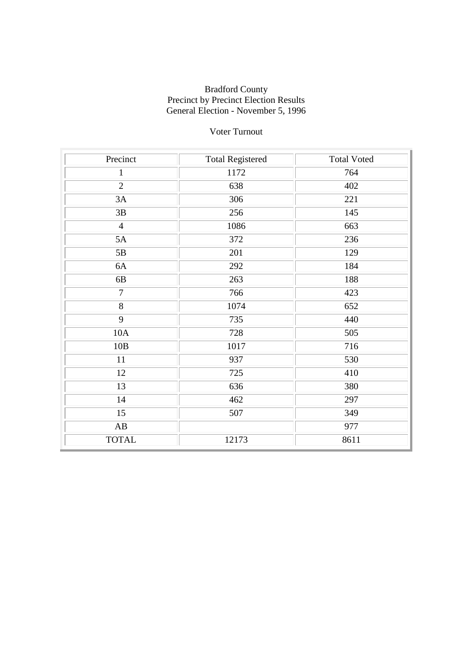## Voter Turnout

| Precinct               | <b>Total Registered</b> | <b>Total Voted</b> |
|------------------------|-------------------------|--------------------|
| $\mathbf{1}$           | 1172                    | 764                |
| $\overline{2}$         | 638                     | 402                |
| 3A                     | 306                     | 221                |
| $3\mathrm{B}$          | 256                     | 145                |
| $\overline{4}$         | 1086                    | 663                |
| 5A                     | 372                     | 236                |
| 5B                     | 201                     | 129                |
| 6A                     | 292                     | 184                |
| 6B                     | 263                     | 188                |
| $\overline{7}$         | 766                     | 423                |
| $\overline{8}$         | 1074                    | 652                |
| 9                      | 735                     | 440                |
| 10A                    | 728                     | 505                |
| 10B                    | 1017                    | 716                |
| 11                     | 937                     | 530                |
| 12                     | 725                     | 410                |
| 13                     | 636                     | 380                |
| 14                     | 462                     | 297                |
| $\overline{15}$        | 507                     | 349                |
| $\mathbf{A}\mathbf{B}$ |                         | 977                |
| <b>TOTAL</b>           | 12173                   | 8611               |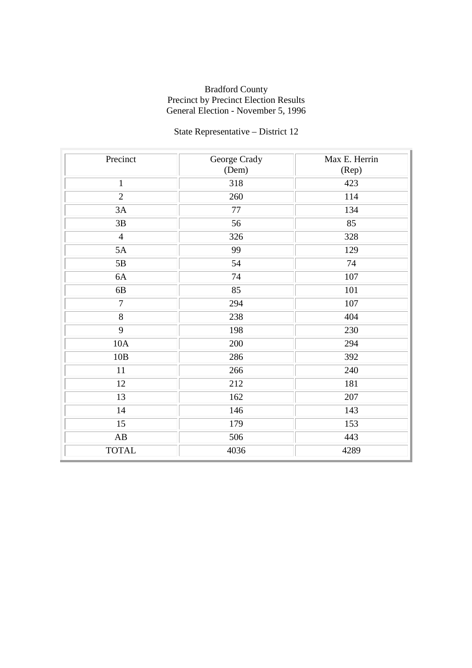# State Representative – District 12

| Precinct               | George Crady | Max E. Herrin |
|------------------------|--------------|---------------|
|                        | (Dem)        | (Rep)         |
| $\mathbf{1}$           | 318          | 423           |
| $\overline{2}$         | 260          | 114           |
| 3A                     | 77           | 134           |
| 3B                     | 56           | 85            |
| $\overline{4}$         | 326          | 328           |
| 5A                     | 99           | 129           |
| 5B                     | 54           | 74            |
| 6A                     | 74           | 107           |
| $6\mathrm{B}$          | 85           | 101           |
| $\overline{7}$         | 294          | 107           |
| 8                      | 238          | 404           |
| 9                      | 198          | 230           |
| 10A                    | 200          | 294           |
| 10B                    | 286          | 392           |
| 11                     | 266          | 240           |
| 12                     | 212          | 181           |
| 13                     | 162          | 207           |
| 14                     | 146          | 143           |
| $\overline{15}$        | 179          | 153           |
| $\mathbf{A}\mathbf{B}$ | 506          | 443           |
| <b>TOTAL</b>           | 4036         | 4289          |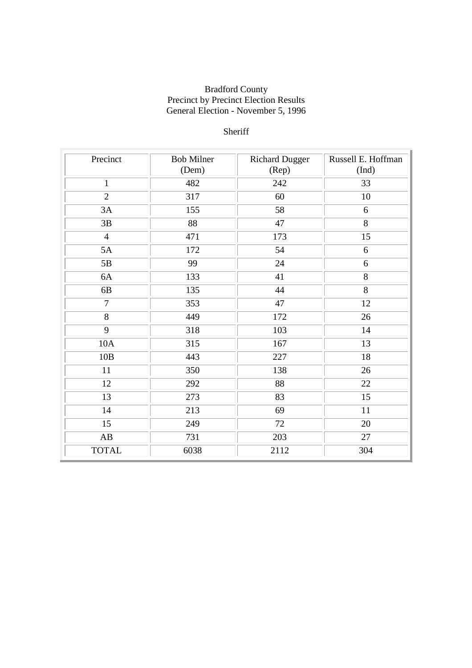## Sheriff

| Precinct       | <b>Bob Milner</b> | <b>Richard Dugger</b> | Russell E. Hoffman |
|----------------|-------------------|-----------------------|--------------------|
|                | (Dem)             | (Rep)                 | (Ind)              |
| $\mathbf{1}$   | 482               | 242                   | 33                 |
| $\overline{2}$ | 317               | 60                    | 10                 |
| 3A             | 155               | 58                    | 6                  |
| 3B             | 88                | 47                    | 8                  |
| $\overline{4}$ | 471               | 173                   | 15                 |
| 5A             | 172               | 54                    | 6                  |
| 5B             | 99                | 24                    | 6                  |
| 6A             | 133               | 41                    | 8                  |
| 6B             | 135               | 44                    | 8                  |
| $\overline{7}$ | 353               | 47                    | 12                 |
| 8              | 449               | 172                   | 26                 |
| 9              | 318               | 103                   | 14                 |
| 10A            | 315               | 167                   | 13                 |
| 10B            | 443               | 227                   | 18                 |
| 11             | 350               | 138                   | 26                 |
| 12             | 292               | 88                    | 22                 |
| 13             | 273               | 83                    | 15                 |
| 14             | 213               | 69                    | 11                 |
| 15             | 249               | 72                    | 20                 |
| AB             | 731               | 203                   | 27                 |
| <b>TOTAL</b>   | 6038              | 2112                  | 304                |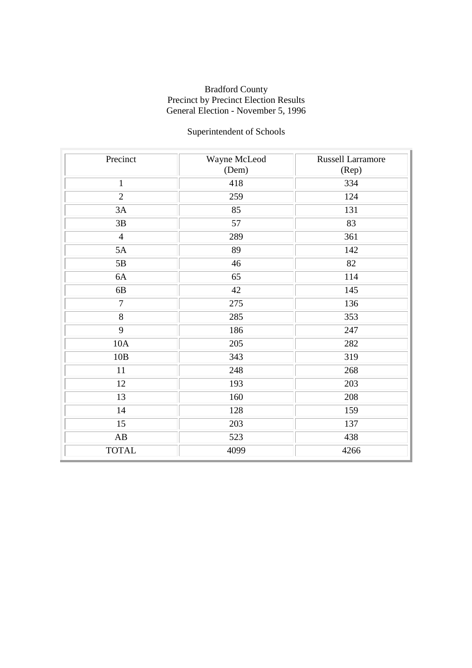# Superintendent of Schools

| Precinct               | Wayne McLeod | <b>Russell Larramore</b> |
|------------------------|--------------|--------------------------|
|                        | (Dem)        | (Rep)                    |
| $\mathbf{1}$           | 418          | 334                      |
| $\overline{2}$         | 259          | 124                      |
| 3A                     | 85           | 131                      |
| 3B                     | 57           | 83                       |
| $\overline{4}$         | 289          | 361                      |
| 5A                     | 89           | 142                      |
| 5B                     | 46           | 82                       |
| 6A                     | 65           | 114                      |
| 6B                     | 42           | 145                      |
| $\overline{7}$         | 275          | 136                      |
| 8                      | 285          | 353                      |
| 9                      | 186          | 247                      |
| 10A                    | 205          | 282                      |
| 10B                    | 343          | 319                      |
| 11                     | 248          | 268                      |
| 12                     | 193          | 203                      |
| 13                     | 160          | 208                      |
| 14                     | 128          | 159                      |
| $\overline{15}$        | 203          | 137                      |
| $\mathbf{A}\mathbf{B}$ | 523          | 438                      |
| <b>TOTAL</b>           | 4099         | 4266                     |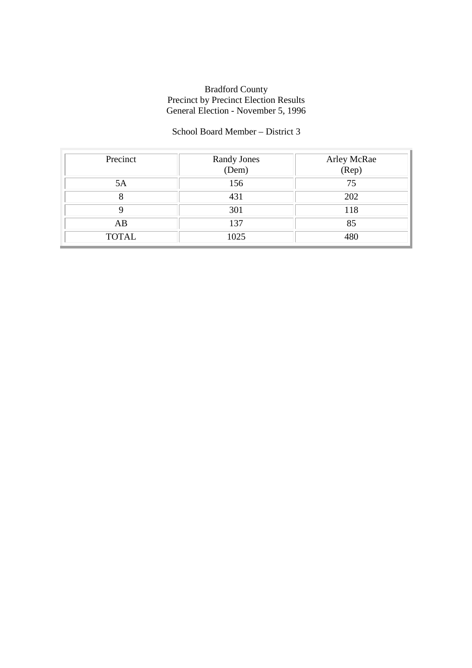### School Board Member – District 3

| Precinct     | Randy Jones<br>(Dem) | Arley McRae<br>(Rep) |
|--------------|----------------------|----------------------|
| 5A           | 156                  | 75                   |
|              | 431                  | 202                  |
|              | 301                  | 118                  |
| AB           | 137                  | 85                   |
| <b>TOTAL</b> | 1025                 | 480                  |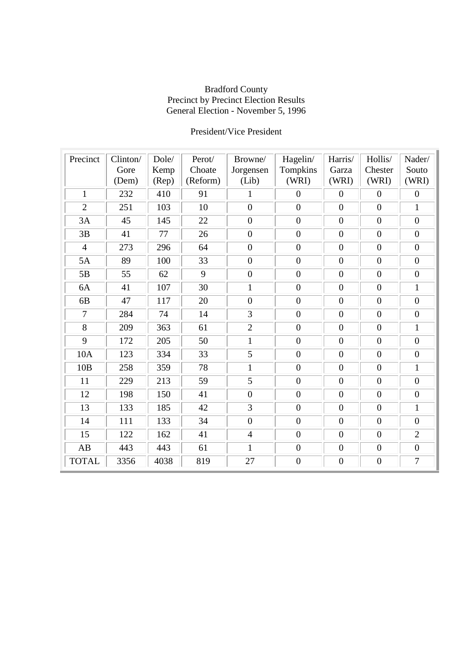### President/Vice President

| Precinct       | Clinton/ | Dole/ | Perot/   | Browne/          | Hagelin/         | Harris/          | Hollis/          | Nader/           |
|----------------|----------|-------|----------|------------------|------------------|------------------|------------------|------------------|
|                | Gore     | Kemp  | Choate   | Jorgensen        | Tompkins         | Garza            | Chester          | Souto            |
|                | (Dem)    | (Rep) | (Reform) | (Lib)            | (WRI)            | (WRI)            | (WRI)            | (WRI)            |
| $\mathbf{1}$   | 232      | 410   | 91       | $\mathbf{1}$     | $\boldsymbol{0}$ | $\boldsymbol{0}$ | $\boldsymbol{0}$ | $\boldsymbol{0}$ |
| $\overline{2}$ | 251      | 103   | 10       | $\overline{0}$   | $\overline{0}$   | $\overline{0}$   | $\overline{0}$   | $\mathbf{1}$     |
| 3A             | 45       | 145   | 22       | $\boldsymbol{0}$ | $\boldsymbol{0}$ | $\boldsymbol{0}$ | $\boldsymbol{0}$ | $\boldsymbol{0}$ |
| 3B             | 41       | 77    | 26       | $\boldsymbol{0}$ | $\boldsymbol{0}$ | $\overline{0}$   | $\boldsymbol{0}$ | $\mathbf{0}$     |
| $\overline{4}$ | 273      | 296   | 64       | $\boldsymbol{0}$ | $\boldsymbol{0}$ | $\boldsymbol{0}$ | $\boldsymbol{0}$ | $\overline{0}$   |
| 5A             | 89       | 100   | 33       | $\boldsymbol{0}$ | $\boldsymbol{0}$ | $\boldsymbol{0}$ | $\overline{0}$   | $\boldsymbol{0}$ |
| 5B             | 55       | 62    | 9        | $\overline{0}$   | $\overline{0}$   | $\overline{0}$   | $\overline{0}$   | $\overline{0}$   |
| 6A             | 41       | 107   | 30       | $\mathbf{1}$     | $\overline{0}$   | $\overline{0}$   | $\mathbf{0}$     | $\mathbf{1}$     |
| 6B             | 47       | 117   | 20       | $\overline{0}$   | $\overline{0}$   | $\boldsymbol{0}$ | $\mathbf{0}$     | $\overline{0}$   |
| 7              | 284      | 74    | 14       | 3                | $\overline{0}$   | $\overline{0}$   | $\boldsymbol{0}$ | $\overline{0}$   |
| 8              | 209      | 363   | 61       | $\overline{2}$   | $\overline{0}$   | $\boldsymbol{0}$ | $\boldsymbol{0}$ | $\mathbf{1}$     |
| 9              | 172      | 205   | 50       | $\mathbf{1}$     | $\overline{0}$   | $\overline{0}$   | $\mathbf{0}$     | $\overline{0}$   |
| 10A            | 123      | 334   | 33       | 5                | $\boldsymbol{0}$ | $\overline{0}$   | $\overline{0}$   | $\mathbf{0}$     |
| 10B            | 258      | 359   | 78       | $\mathbf{1}$     | $\overline{0}$   | $\boldsymbol{0}$ | $\overline{0}$   | $\mathbf{1}$     |
| 11             | 229      | 213   | 59       | 5                | $\overline{0}$   | $\overline{0}$   | $\mathbf{0}$     | $\overline{0}$   |
| 12             | 198      | 150   | 41       | $\overline{0}$   | $\overline{0}$   | $\overline{0}$   | $\overline{0}$   | $\overline{0}$   |
| 13             | 133      | 185   | 42       | $\overline{3}$   | $\overline{0}$   | $\overline{0}$   | $\mathbf{0}$     | $\mathbf{1}$     |
| 14             | 111      | 133   | 34       | $\boldsymbol{0}$ | $\overline{0}$   | $\boldsymbol{0}$ | $\boldsymbol{0}$ | $\overline{0}$   |
| 15             | 122      | 162   | 41       | $\overline{4}$   | $\overline{0}$   | $\boldsymbol{0}$ | $\boldsymbol{0}$ | $\overline{2}$   |
| AB             | 443      | 443   | 61       | 1                | $\boldsymbol{0}$ | $\boldsymbol{0}$ | $\mathbf{0}$     | $\boldsymbol{0}$ |
| <b>TOTAL</b>   | 3356     | 4038  | 819      | 27               | $\boldsymbol{0}$ | $\mathbf{0}$     | $\mathbf{0}$     | $\overline{7}$   |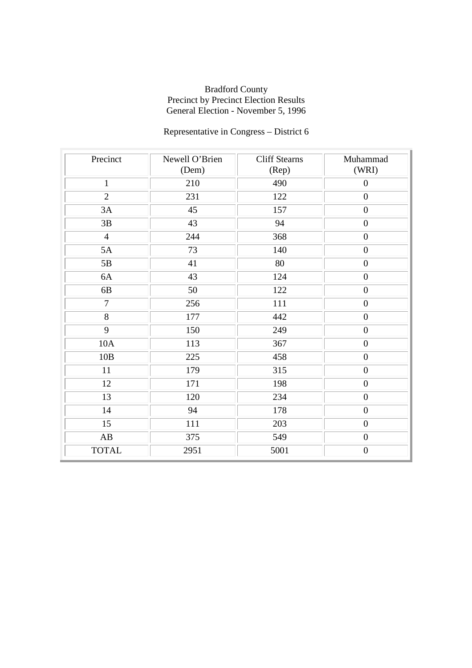# Representative in Congress – District 6

| Precinct       | Newell O'Brien<br>(Dem) | <b>Cliff Stearns</b><br>(Rep) | Muhammad<br>(WRI) |
|----------------|-------------------------|-------------------------------|-------------------|
|                |                         |                               |                   |
| $\mathbf{1}$   | 210                     | 490                           | $\overline{0}$    |
| $\overline{2}$ | 231                     | 122                           | $\boldsymbol{0}$  |
| 3A             | 45                      | 157                           | $\overline{0}$    |
| 3B             | 43                      | 94                            | $\boldsymbol{0}$  |
| $\overline{4}$ | 244                     | 368                           | $\boldsymbol{0}$  |
| 5A             | 73                      | 140                           | $\boldsymbol{0}$  |
| 5B             | 41                      | 80                            | $\boldsymbol{0}$  |
| 6A             | 43                      | 124                           | $\boldsymbol{0}$  |
| 6B             | 50                      | 122                           | $\overline{0}$    |
| $\overline{7}$ | 256                     | 111                           | $\boldsymbol{0}$  |
| 8              | 177                     | 442                           | $\overline{0}$    |
| 9              | 150                     | 249                           | $\boldsymbol{0}$  |
| 10A            | 113                     | 367                           | $\overline{0}$    |
| 10B            | 225                     | 458                           | $\overline{0}$    |
| 11             | 179                     | 315                           | $\boldsymbol{0}$  |
| 12             | 171                     | 198                           | $\overline{0}$    |
| 13             | 120                     | 234                           | $\boldsymbol{0}$  |
| 14             | 94                      | 178                           | $\overline{0}$    |
| 15             | 111                     | 203                           | $\overline{0}$    |
| AB             | 375                     | 549                           | $\boldsymbol{0}$  |
| <b>TOTAL</b>   | 2951                    | 5001                          | $\boldsymbol{0}$  |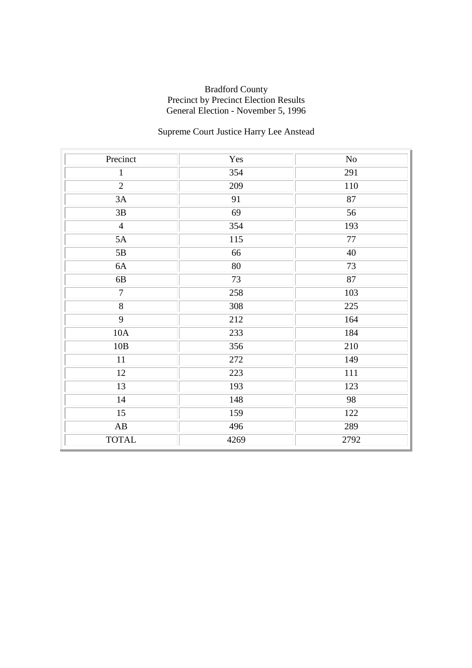# Supreme Court Justice Harry Lee Anstead

| Precinct               | Yes  | No   |
|------------------------|------|------|
| $\mathbf{1}$           | 354  | 291  |
| $\overline{2}$         | 209  | 110  |
| 3A                     | 91   | 87   |
| $3\mathrm{B}$          | 69   | 56   |
| $\overline{4}$         | 354  | 193  |
| 5A                     | 115  | 77   |
| 5B                     | 66   | 40   |
| 6A                     | 80   | 73   |
| 6B                     | 73   | 87   |
| $\overline{7}$         | 258  | 103  |
| $\overline{8}$         | 308  | 225  |
| 9                      | 212  | 164  |
| 10A                    | 233  | 184  |
| 10B                    | 356  | 210  |
| $11\,$                 | 272  | 149  |
| 12                     | 223  | 111  |
| 13                     | 193  | 123  |
| 14                     | 148  | 98   |
| $\overline{15}$        | 159  | 122  |
| $\mathbf{A}\mathbf{B}$ | 496  | 289  |
| <b>TOTAL</b>           | 4269 | 2792 |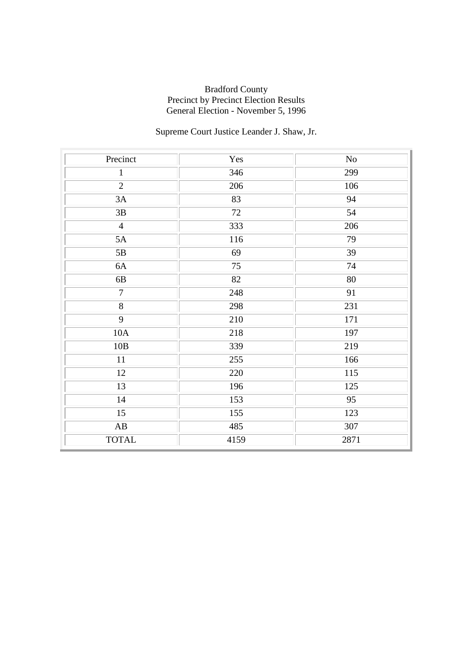## Supreme Court Justice Leander J. Shaw, Jr.

| Precinct               | Yes  | N <sub>o</sub>  |
|------------------------|------|-----------------|
| $\mathbf{1}$           | 346  | 299             |
| $\overline{2}$         | 206  | 106             |
| 3A                     | 83   | 94              |
| $3\mathrm{B}$          | 72   | 54              |
| $\overline{4}$         | 333  | 206             |
| 5A                     | 116  | 79              |
| 5B                     | 69   | 39              |
| 6A                     | 75   | 74              |
| 6B                     | 82   | 80              |
| $\overline{7}$         | 248  | $\overline{91}$ |
| $\overline{8}$         | 298  | 231             |
| 9                      | 210  | 171             |
| 10A                    | 218  | 197             |
| 10B                    | 339  | 219             |
| $11\,$                 | 255  | 166             |
| 12                     | 220  | 115             |
| 13                     | 196  | 125             |
| 14                     | 153  | 95              |
| $\overline{15}$        | 155  | 123             |
| $\mathbf{A}\mathbf{B}$ | 485  | 307             |
| <b>TOTAL</b>           | 4159 | 2871            |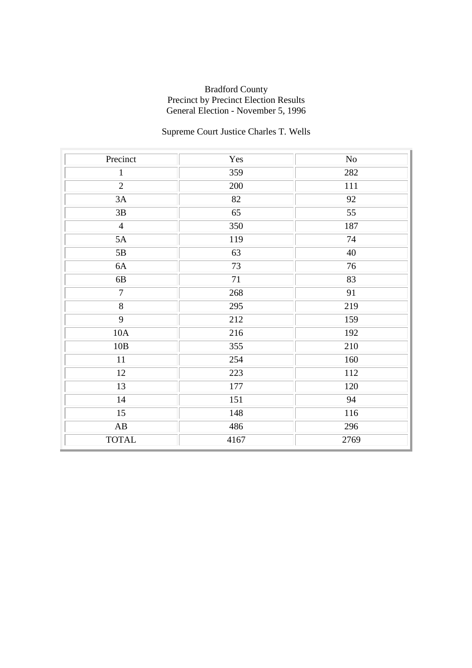# Supreme Court Justice Charles T. Wells

| Precinct               | Yes  | $\rm No$ |
|------------------------|------|----------|
| $\mathbf{1}$           | 359  | 282      |
| $\overline{2}$         | 200  | 111      |
| 3A                     | 82   | 92       |
| $3\mathrm{B}$          | 65   | 55       |
| $\overline{4}$         | 350  | 187      |
| 5A                     | 119  | 74       |
| $5\mathrm{B}$          | 63   | 40       |
| 6A                     | 73   | 76       |
| 6B                     | 71   | 83       |
| $\overline{7}$         | 268  | 91       |
| $\overline{8}$         | 295  | 219      |
| $\overline{9}$         | 212  | 159      |
| 10A                    | 216  | 192      |
| 10B                    | 355  | 210      |
| 11                     | 254  | 160      |
| 12                     | 223  | 112      |
| 13                     | 177  | 120      |
| 14                     | 151  | 94       |
| $\overline{15}$        | 148  | 116      |
| $\mathbf{A}\mathbf{B}$ | 486  | 296      |
| <b>TOTAL</b>           | 4167 | 2769     |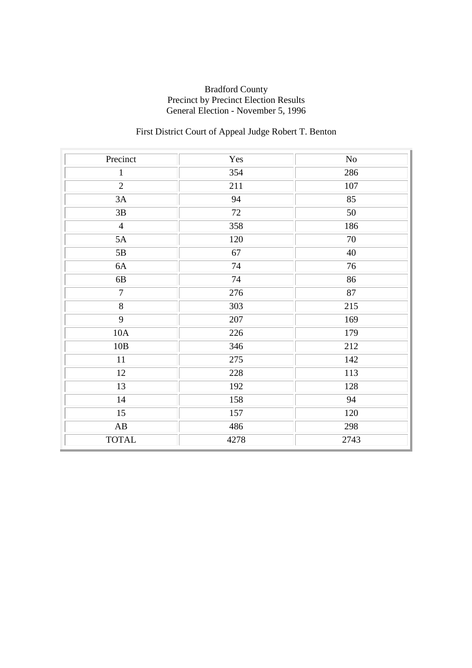# First District Court of Appeal Judge Robert T. Benton

| Precinct               | Yes  | No              |
|------------------------|------|-----------------|
| $\mathbf{1}$           | 354  | 286             |
| $\overline{2}$         | 211  | 107             |
| 3A                     | 94   | 85              |
| $3\mathrm{B}$          | 72   | 50              |
| $\overline{4}$         | 358  | 186             |
| 5A                     | 120  | 70              |
| 5B                     | 67   | 40              |
| 6A                     | 74   | 76              |
| 6B                     | 74   | 86              |
| $\overline{7}$         | 276  | $\overline{87}$ |
| $\overline{8}$         | 303  | 215             |
| 9                      | 207  | 169             |
| 10A                    | 226  | 179             |
| 10B                    | 346  | 212             |
| $11\,$                 | 275  | 142             |
| 12                     | 228  | 113             |
| 13                     | 192  | 128             |
| 14                     | 158  | 94              |
| $\overline{15}$        | 157  | 120             |
| $\mathbf{A}\mathbf{B}$ | 486  | 298             |
| <b>TOTAL</b>           | 4278 | 2743            |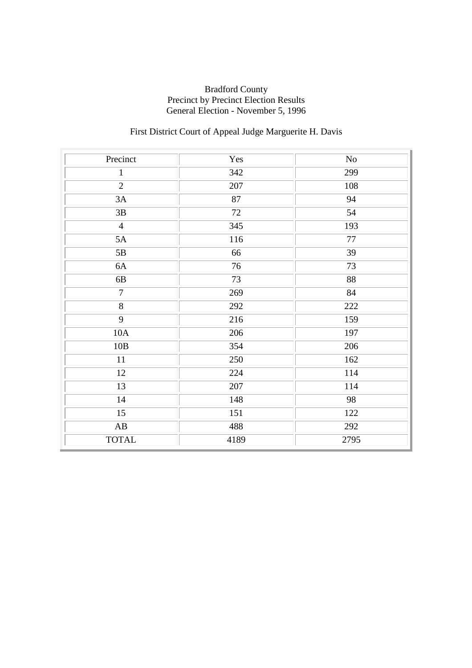# First District Court of Appeal Judge Marguerite H. Davis

| Precinct               | Yes     | $\rm No$ |
|------------------------|---------|----------|
| $\mathbf{1}$           | 342     | 299      |
| $\overline{2}$         | 207     | 108      |
| 3A                     | 87      | 94       |
| $3\mathrm{B}$          | 72      | 54       |
| $\overline{4}$         | 345     | 193      |
| 5A                     | 116     | $77\,$   |
| 5B                     | 66      | 39       |
| 6A                     | 76      | 73       |
| 6B                     | 73      | 88       |
| $\overline{7}$         | 269     | 84       |
| $\overline{8}$         | 292     | 222      |
| 9                      | 216     | 159      |
| 10A                    | 206     | 197      |
| 10B                    | 354     | 206      |
| $11\,$                 | 250     | 162      |
| 12                     | 224     | 114      |
| 13                     | $207\,$ | 114      |
| 14                     | 148     | 98       |
| $\overline{15}$        | 151     | 122      |
| $\mathbf{A}\mathbf{B}$ | 488     | 292      |
| <b>TOTAL</b>           | 4189    | 2795     |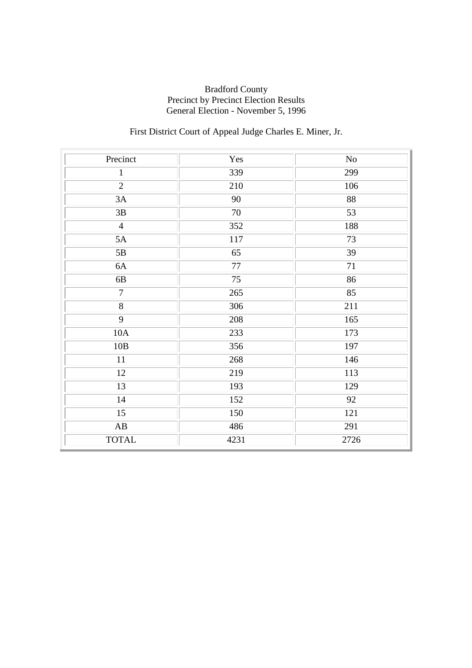# First District Court of Appeal Judge Charles E. Miner, Jr.

| Precinct               | Yes  | $\rm No$         |
|------------------------|------|------------------|
| $\mathbf{1}$           | 339  | 299              |
| $\overline{2}$         | 210  | 106              |
| 3A                     | 90   | 88               |
| $3\mathrm{B}$          | 70   | 53               |
| $\overline{4}$         | 352  | 188              |
| 5A                     | 117  | 73               |
| $5B$                   | 65   | 39               |
| 6A                     | 77   | 71               |
| 6B                     | 75   | 86               |
| $\overline{7}$         | 265  | 85               |
| $\overline{8}$         | 306  | 211              |
| $\overline{9}$         | 208  | 165              |
| 10A                    | 233  | 173              |
| 10B                    | 356  | 197              |
| $11\,$                 | 268  | 146              |
| 12                     | 219  | 113              |
| 13                     | 193  | 129              |
| 14                     | 152  | 92               |
| $\overline{15}$        | 150  | $\overline{121}$ |
| $\mathbf{A}\mathbf{B}$ | 486  | 291              |
| <b>TOTAL</b>           | 4231 | 2726             |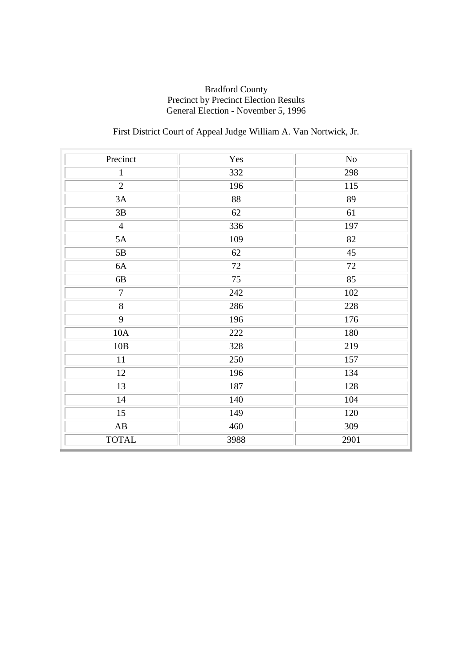# First District Court of Appeal Judge William A. Van Nortwick, Jr.

| Precinct               | Yes  | $\rm No$ |
|------------------------|------|----------|
| $\mathbf{1}$           | 332  | 298      |
| $\overline{2}$         | 196  | 115      |
| 3A                     | 88   | 89       |
| $3\mathrm{B}$          | 62   | 61       |
| $\overline{4}$         | 336  | 197      |
| 5A                     | 109  | 82       |
| $5B$                   | 62   | 45       |
| 6A                     | 72   | 72       |
| 6B                     | 75   | 85       |
| $\overline{7}$         | 242  | 102      |
| $\overline{8}$         | 286  | 228      |
| $\overline{9}$         | 196  | 176      |
| 10A                    | 222  | 180      |
| 10B                    | 328  | 219      |
| $11\,$                 | 250  | 157      |
| 12                     | 196  | 134      |
| 13                     | 187  | 128      |
| 14                     | 140  | 104      |
| $\overline{15}$        | 149  | 120      |
| $\mathbf{A}\mathbf{B}$ | 460  | 309      |
| <b>TOTAL</b>           | 3988 | 2901     |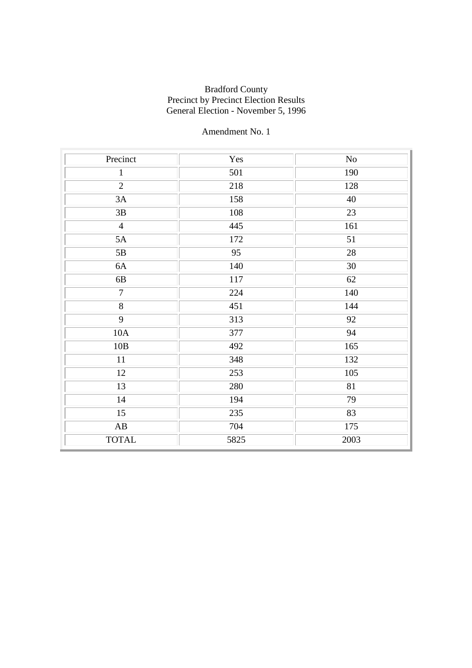| Precinct               | Yes  | $\rm No$ |
|------------------------|------|----------|
| $\mathbf{1}$           | 501  | 190      |
| $\overline{2}$         | 218  | 128      |
| 3A                     | 158  | 40       |
| 3B                     | 108  | 23       |
| $\overline{4}$         | 445  | 161      |
| 5A                     | 172  | 51       |
| 5B                     | 95   | 28       |
| 6A                     | 140  | 30       |
| 6B                     | 117  | 62       |
| $\overline{7}$         | 224  | 140      |
| $\overline{8}$         | 451  | 144      |
| 9                      | 313  | 92       |
| 10A                    | 377  | 94       |
| 10B                    | 492  | 165      |
| 11                     | 348  | 132      |
| 12                     | 253  | 105      |
| 13                     | 280  | 81       |
| 14                     | 194  | 79       |
| $\overline{15}$        | 235  | 83       |
| $\mathbf{A}\mathbf{B}$ | 704  | 175      |
| <b>TOTAL</b>           | 5825 | 2003     |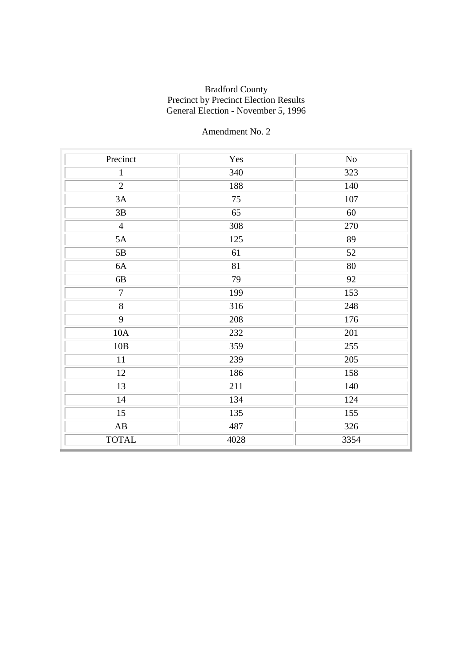| Precinct               | Yes  | No   |
|------------------------|------|------|
| $\mathbf{1}$           | 340  | 323  |
| $\overline{2}$         | 188  | 140  |
| 3A                     | 75   | 107  |
| 3B                     | 65   | 60   |
| $\overline{4}$         | 308  | 270  |
| 5A                     | 125  | 89   |
| 5B                     | 61   | 52   |
| 6A                     | 81   | 80   |
| 6B                     | 79   | 92   |
| $\overline{7}$         | 199  | 153  |
| $\overline{8}$         | 316  | 248  |
| 9                      | 208  | 176  |
| 10A                    | 232  | 201  |
| 10B                    | 359  | 255  |
| 11                     | 239  | 205  |
| 12                     | 186  | 158  |
| 13                     | 211  | 140  |
| 14                     | 134  | 124  |
| 15                     | 135  | 155  |
| $\mathbf{A}\mathbf{B}$ | 487  | 326  |
| <b>TOTAL</b>           | 4028 | 3354 |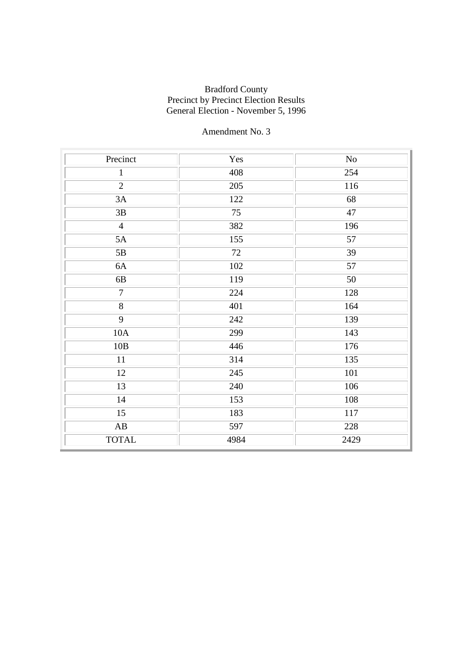| Precinct               | Yes  | No   |
|------------------------|------|------|
| $\mathbf{1}$           | 408  | 254  |
| $\overline{2}$         | 205  | 116  |
| 3A                     | 122  | 68   |
| 3B                     | 75   | 47   |
| $\overline{4}$         | 382  | 196  |
| 5A                     | 155  | 57   |
| 5B                     | 72   | 39   |
| 6A                     | 102  | 57   |
| 6B                     | 119  | 50   |
| $\overline{7}$         | 224  | 128  |
| $\overline{8}$         | 401  | 164  |
| 9                      | 242  | 139  |
| 10A                    | 299  | 143  |
| 10B                    | 446  | 176  |
| 11                     | 314  | 135  |
| 12                     | 245  | 101  |
| 13                     | 240  | 106  |
| 14                     | 153  | 108  |
| $\overline{15}$        | 183  | 117  |
| $\mathbf{A}\mathbf{B}$ | 597  | 228  |
| <b>TOTAL</b>           | 4984 | 2429 |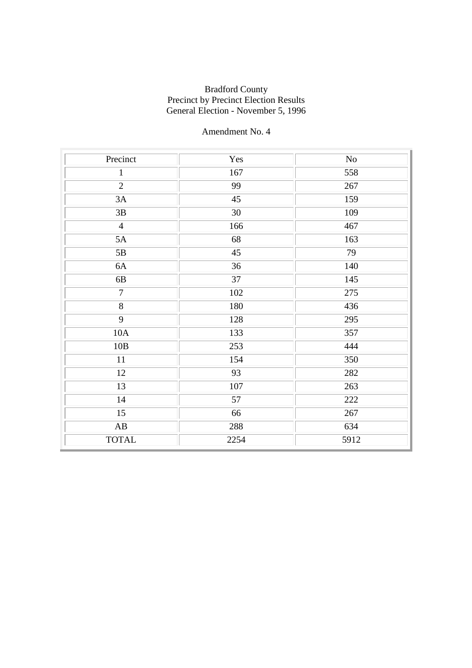| Precinct               | Yes  | No   |
|------------------------|------|------|
| $\mathbf{1}$           | 167  | 558  |
| $\overline{2}$         | 99   | 267  |
| 3A                     | 45   | 159  |
| 3B                     | 30   | 109  |
| $\overline{4}$         | 166  | 467  |
| 5A                     | 68   | 163  |
| 5B                     | 45   | 79   |
| 6A                     | 36   | 140  |
| 6B                     | 37   | 145  |
| $\overline{7}$         | 102  | 275  |
| $\overline{8}$         | 180  | 436  |
| 9                      | 128  | 295  |
| 10A                    | 133  | 357  |
| 10B                    | 253  | 444  |
| 11                     | 154  | 350  |
| 12                     | 93   | 282  |
| 13                     | 107  | 263  |
| 14                     | 57   | 222  |
| 15                     | 66   | 267  |
| $\mathbf{A}\mathbf{B}$ | 288  | 634  |
| <b>TOTAL</b>           | 2254 | 5912 |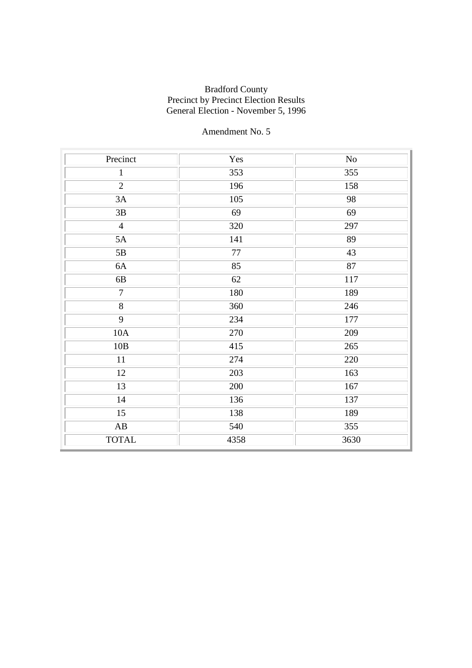| Precinct               | Yes  | No   |
|------------------------|------|------|
| $\mathbf{1}$           | 353  | 355  |
| $\overline{2}$         | 196  | 158  |
| 3A                     | 105  | 98   |
| 3B                     | 69   | 69   |
| $\overline{4}$         | 320  | 297  |
| 5A                     | 141  | 89   |
| 5B                     | 77   | 43   |
| 6A                     | 85   | 87   |
| 6B                     | 62   | 117  |
| $\overline{7}$         | 180  | 189  |
| $\overline{8}$         | 360  | 246  |
| 9                      | 234  | 177  |
| 10A                    | 270  | 209  |
| 10B                    | 415  | 265  |
| 11                     | 274  | 220  |
| 12                     | 203  | 163  |
| 13                     | 200  | 167  |
| 14                     | 136  | 137  |
| $\overline{15}$        | 138  | 189  |
| $\mathbf{A}\mathbf{B}$ | 540  | 355  |
| <b>TOTAL</b>           | 4358 | 3630 |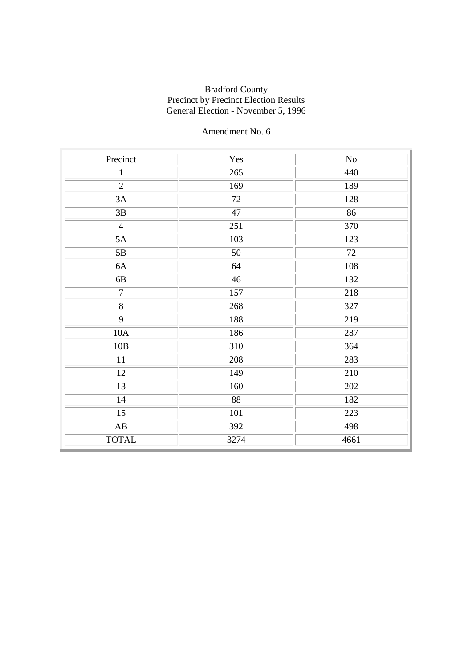| Precinct               | Yes  | $\rm No$ |
|------------------------|------|----------|
| $\mathbf{1}$           | 265  | 440      |
| $\overline{2}$         | 169  | 189      |
| 3A                     | 72   | 128      |
| 3B                     | 47   | 86       |
| $\overline{4}$         | 251  | 370      |
| 5A                     | 103  | 123      |
| 5B                     | 50   | 72       |
| 6A                     | 64   | 108      |
| 6B                     | 46   | 132      |
| $\overline{7}$         | 157  | 218      |
| $\overline{8}$         | 268  | 327      |
| 9                      | 188  | 219      |
| 10A                    | 186  | 287      |
| 10B                    | 310  | 364      |
| 11                     | 208  | 283      |
| 12                     | 149  | 210      |
| 13                     | 160  | 202      |
| 14                     | 88   | 182      |
| $\overline{15}$        | 101  | 223      |
| $\mathbf{A}\mathbf{B}$ | 392  | 498      |
| <b>TOTAL</b>           | 3274 | 4661     |